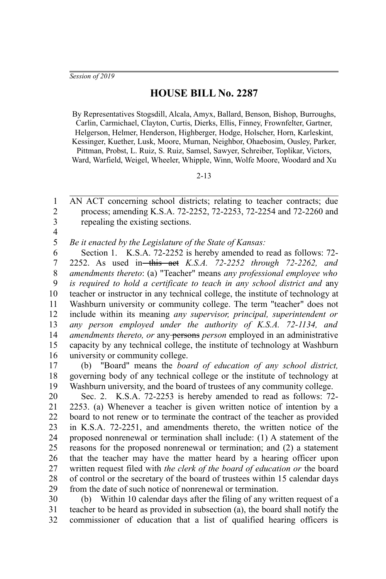## **HOUSE BILL No. 2287**

By Representatives Stogsdill, Alcala, Amyx, Ballard, Benson, Bishop, Burroughs, Carlin, Carmichael, Clayton, Curtis, Dierks, Ellis, Finney, Frownfelter, Gartner, Helgerson, Helmer, Henderson, Highberger, Hodge, Holscher, Horn, Karleskint, Kessinger, Kuether, Lusk, Moore, Murnan, Neighbor, Ohaebosim, Ousley, Parker, Pittman, Probst, L. Ruiz, S. Ruiz, Samsel, Sawyer, Schreiber, Toplikar, Victors, Ward, Warfield, Weigel, Wheeler, Whipple, Winn, Wolfe Moore, Woodard and Xu

## 2-13

AN ACT concerning school districts; relating to teacher contracts; due process; amending K.S.A. 72-2252, 72-2253, 72-2254 and 72-2260 and repealing the existing sections. 1 2 3

4

*Be it enacted by the Legislature of the State of Kansas:* 5

Section 1. K.S.A. 72-2252 is hereby amended to read as follows: 72- 2252. As used in this act *K.S.A. 72-2252 through 72-2262, and amendments thereto*: (a) "Teacher" means *any professional employee who is required to hold a certificate to teach in any school district and* any teacher or instructor in any technical college, the institute of technology at Washburn university or community college. The term "teacher" does not include within its meaning *any supervisor, principal, superintendent or any person employed under the authority of K.S.A. 72-1134, and amendments thereto, or any persons person* employed in an administrative capacity by any technical college, the institute of technology at Washburn university or community college. 6 7 8 9 10 11 12 13 14 15 16

(b) "Board" means the *board of education of any school district,* governing body of any technical college or the institute of technology at Washburn university, and the board of trustees of any community college. 17 18 19

Sec. 2. K.S.A. 72-2253 is hereby amended to read as follows: 72- 2253. (a) Whenever a teacher is given written notice of intention by a board to not renew or to terminate the contract of the teacher as provided in K.S.A. 72-2251, and amendments thereto, the written notice of the proposed nonrenewal or termination shall include: (1) A statement of the reasons for the proposed nonrenewal or termination; and (2) a statement that the teacher may have the matter heard by a hearing officer upon written request filed with *the clerk of the board of education or* the board of control or the secretary of the board of trustees within 15 calendar days from the date of such notice of nonrenewal or termination. 20 21 22 23 24 25 26 27 28 29

(b) Within 10 calendar days after the filing of any written request of a teacher to be heard as provided in subsection (a), the board shall notify the commissioner of education that a list of qualified hearing officers is 30 31 32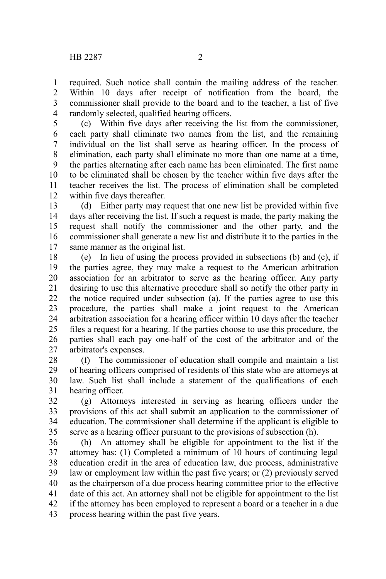required. Such notice shall contain the mailing address of the teacher. Within 10 days after receipt of notification from the board, the commissioner shall provide to the board and to the teacher, a list of five randomly selected, qualified hearing officers. 1 2 3 4

(c) Within five days after receiving the list from the commissioner, each party shall eliminate two names from the list, and the remaining individual on the list shall serve as hearing officer. In the process of elimination, each party shall eliminate no more than one name at a time, the parties alternating after each name has been eliminated. The first name to be eliminated shall be chosen by the teacher within five days after the teacher receives the list. The process of elimination shall be completed within five days thereafter. 5 6 7 8 9 10 11 12

(d) Either party may request that one new list be provided within five days after receiving the list. If such a request is made, the party making the request shall notify the commissioner and the other party, and the commissioner shall generate a new list and distribute it to the parties in the same manner as the original list. 13 14 15 16 17

(e) In lieu of using the process provided in subsections (b) and (c), if the parties agree, they may make a request to the American arbitration association for an arbitrator to serve as the hearing officer. Any party desiring to use this alternative procedure shall so notify the other party in the notice required under subsection (a). If the parties agree to use this procedure, the parties shall make a joint request to the American arbitration association for a hearing officer within 10 days after the teacher files a request for a hearing. If the parties choose to use this procedure, the parties shall each pay one-half of the cost of the arbitrator and of the arbitrator's expenses. 18 19 20 21 22 23 24 25 26 27

(f) The commissioner of education shall compile and maintain a list of hearing officers comprised of residents of this state who are attorneys at law. Such list shall include a statement of the qualifications of each hearing officer. 28 29 30 31

(g) Attorneys interested in serving as hearing officers under the provisions of this act shall submit an application to the commissioner of education. The commissioner shall determine if the applicant is eligible to serve as a hearing officer pursuant to the provisions of subsection (h). 32 33 34 35

(h) An attorney shall be eligible for appointment to the list if the attorney has: (1) Completed a minimum of 10 hours of continuing legal education credit in the area of education law, due process, administrative law or employment law within the past five years; or (2) previously served as the chairperson of a due process hearing committee prior to the effective date of this act. An attorney shall not be eligible for appointment to the list if the attorney has been employed to represent a board or a teacher in a due process hearing within the past five years. 36 37 38 39 40 41 42 43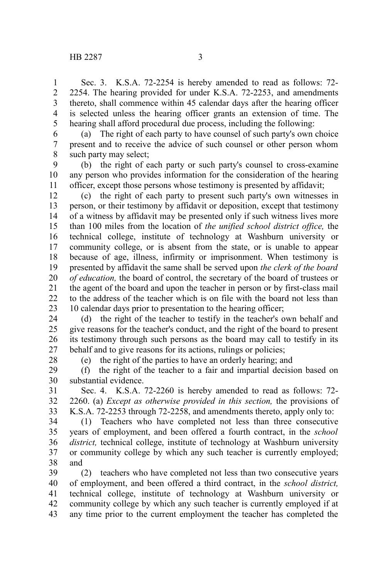Sec. 3. K.S.A. 72-2254 is hereby amended to read as follows: 72- 2254. The hearing provided for under K.S.A. 72-2253, and amendments thereto, shall commence within 45 calendar days after the hearing officer is selected unless the hearing officer grants an extension of time. The hearing shall afford procedural due process, including the following: 1 2 3 4 5

(a) The right of each party to have counsel of such party's own choice present and to receive the advice of such counsel or other person whom such party may select; 6 7 8

(b) the right of each party or such party's counsel to cross-examine any person who provides information for the consideration of the hearing officer, except those persons whose testimony is presented by affidavit; 9 10 11

(c) the right of each party to present such party's own witnesses in person, or their testimony by affidavit or deposition, except that testimony of a witness by affidavit may be presented only if such witness lives more than 100 miles from the location of *the unified school district office,* the technical college, institute of technology at Washburn university or community college, or is absent from the state, or is unable to appear because of age, illness, infirmity or imprisonment. When testimony is presented by affidavit the same shall be served upon *the clerk of the board of education,* the board of control, the secretary of the board of trustees or the agent of the board and upon the teacher in person or by first-class mail to the address of the teacher which is on file with the board not less than 10 calendar days prior to presentation to the hearing officer; 12 13 14 15 16 17 18 19 20 21 22 23

(d) the right of the teacher to testify in the teacher's own behalf and give reasons for the teacher's conduct, and the right of the board to present its testimony through such persons as the board may call to testify in its behalf and to give reasons for its actions, rulings or policies; 24 25 26 27

28

(e) the right of the parties to have an orderly hearing; and

(f) the right of the teacher to a fair and impartial decision based on substantial evidence. 29 30

Sec. 4. K.S.A. 72-2260 is hereby amended to read as follows: 72- 2260. (a) *Except as otherwise provided in this section,* the provisions of K.S.A. 72-2253 through 72-2258, and amendments thereto, apply only to: 31 32 33

(1) Teachers who have completed not less than three consecutive years of employment, and been offered a fourth contract, in the *school district,* technical college, institute of technology at Washburn university or community college by which any such teacher is currently employed; and 34 35 36 37 38

(2) teachers who have completed not less than two consecutive years of employment, and been offered a third contract, in the *school district,* technical college, institute of technology at Washburn university or community college by which any such teacher is currently employed if at any time prior to the current employment the teacher has completed the 39 40 41 42 43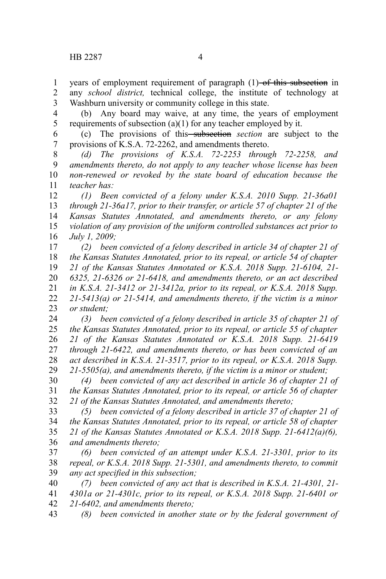years of employment requirement of paragraph (1)–of this subsection in any *school district,* technical college, the institute of technology at Washburn university or community college in this state. 1 2 3

(b) Any board may waive, at any time, the years of employment requirements of subsection (a)(1) for any teacher employed by it. 4 5

(c) The provisions of this subsection *section* are subject to the provisions of K.S.A. 72-2262, and amendments thereto. 6 7

*(d) The provisions of K.S.A. 72-2253 through 72-2258, and amendments thereto, do not apply to any teacher whose license has been non-renewed or revoked by the state board of education because the teacher has:* 8 9 10 11

*(1) Been convicted of a felony under K.S.A. 2010 Supp. 21-36a01 through 21-36a17, prior to their transfer, or article 57 of chapter 21 of the Kansas Statutes Annotated, and amendments thereto, or any felony violation of any provision of the uniform controlled substances act prior to July 1, 2009;* 12 13 14 15 16

*(2) been convicted of a felony described in article 34 of chapter 21 of the Kansas Statutes Annotated, prior to its repeal, or article 54 of chapter 21 of the Kansas Statutes Annotated or K.S.A. 2018 Supp. 21-6104, 21- 6325, 21-6326 or 21-6418, and amendments thereto, or an act described in K.S.A. 21-3412 or 21-3412a, prior to its repeal, or K.S.A. 2018 Supp. 21-5413(a) or 21-5414, and amendments thereto, if the victim is a minor or student;* 17 18 19 20 21 22 23

*(3) been convicted of a felony described in article 35 of chapter 21 of the Kansas Statutes Annotated, prior to its repeal, or article 55 of chapter 21 of the Kansas Statutes Annotated or K.S.A. 2018 Supp. 21-6419 through 21-6422, and amendments thereto, or has been convicted of an act described in K.S.A. 21-3517, prior to its repeal, or K.S.A. 2018 Supp. 21-5505(a), and amendments thereto, if the victim is a minor or student;* 24 25 26 27 28 29

*(4) been convicted of any act described in article 36 of chapter 21 of the Kansas Statutes Annotated, prior to its repeal, or article 56 of chapter 21 of the Kansas Statutes Annotated, and amendments thereto;* 30 31 32

*(5) been convicted of a felony described in article 37 of chapter 21 of the Kansas Statutes Annotated, prior to its repeal, or article 58 of chapter 21 of the Kansas Statutes Annotated or K.S.A. 2018 Supp. 21-6412(a)(6), and amendments thereto;* 33 34 35 36

*(6) been convicted of an attempt under K.S.A. 21-3301, prior to its repeal, or K.S.A. 2018 Supp. 21-5301, and amendments thereto, to commit any act specified in this subsection;* 37 38 39

*(7) been convicted of any act that is described in K.S.A. 21-4301, 21- 4301a or 21-4301c, prior to its repeal, or K.S.A. 2018 Supp. 21-6401 or 21-6402, and amendments thereto;* 40 41 42

*(8) been convicted in another state or by the federal government of* 43